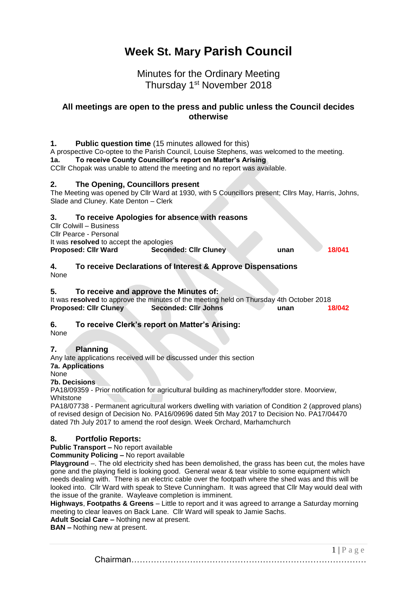# **Week St. Mary Parish Council**

# Minutes for the Ordinary Meeting Thursday 1<sup>st</sup> November 2018

## **All meetings are open to the press and public unless the Council decides otherwise**

# **1. Public question time** (15 minutes allowed for this) A prospective Co-optee to the Parish Council, Louise Stephens, was welcomed to the meeting. **1a. To receive County Councillor's report on Matter's Arising** CCllr Chopak was unable to attend the meeting and no report was available. **2. The Opening, Councillors present**

The Meeting was opened by Cllr Ward at 1930, with 5 Councillors present; Cllrs May, Harris, Johns, Slade and Cluney. Kate Denton – Clerk

## **3. To receive Apologies for absence with reasons**

| CIIr Colwill – Business                 |                              |      |        |
|-----------------------------------------|------------------------------|------|--------|
| Cllr Pearce - Personal                  |                              |      |        |
| It was resolved to accept the apologies |                              |      |        |
| <b>Proposed: Cllr Ward</b>              | <b>Seconded: Cllr Cluney</b> | unan | 18/041 |

#### **4. To receive Declarations of Interest & Approve Dispensations** None

### **5. To receive and approve the Minutes of:**

| It was resolved to approve the minutes of the meeting held on Thursday 4th October 2018 |                      |  |      |        |
|-----------------------------------------------------------------------------------------|----------------------|--|------|--------|
| <b>Proposed: Clir Cluney</b>                                                            | Seconded: Cllr Johns |  | unan | 18/042 |

#### **6. To receive Clerk's report on Matter's Arising:**

None

#### **7. Planning**

Any late applications received will be discussed under this section **7a. Applications**

None

#### **7b. Decisions**

PA18/09359 - Prior notification for agricultural building as machinery/fodder store. Moorview, Whitstone

PA18/07738 - Permanent agricultural workers dwelling with variation of Condition 2 (approved plans) of revised design of Decision No. PA16/09696 dated 5th May 2017 to Decision No. PA17/04470 dated 7th July 2017 to amend the roof design. Week Orchard, Marhamchurch

#### **8. Portfolio Reports:**

**Public Transport –** No report available

**Community Policing –** No report available

**Playground** –. The old electricity shed has been demolished, the grass has been cut, the moles have gone and the playing field is looking good. General wear & tear visible to some equipment which needs dealing with. There is an electric cable over the footpath where the shed was and this will be looked into. Cllr Ward with speak to Steve Cunningham. It was agreed that Cllr May would deal with the issue of the granite. Wayleave completion is imminent.

**Highways**, **Footpaths & Greens** – Little to report and it was agreed to arrange a Saturday morning meeting to clear leaves on Back Lane. Cllr Ward will speak to Jamie Sachs.

**Adult Social Care –** Nothing new at present.

**BAN –** Nothing new at present.

 $1 | P a \ge e$ Chairman…………………………………………………………………………